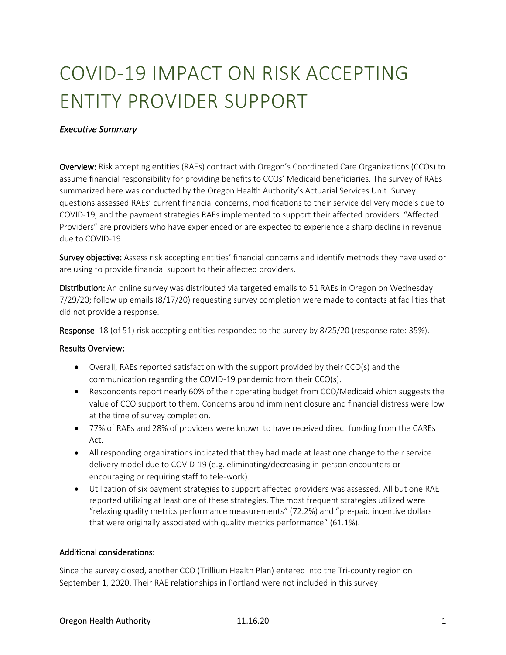# COVID-19 IMPACT ON RISK ACCEPTING ENTITY PROVIDER SUPPORT

## *Executive Summary*

Overview: Risk accepting entities (RAEs) contract with Oregon's Coordinated Care Organizations (CCOs) to assume financial responsibility for providing benefits to CCOs' Medicaid beneficiaries. The survey of RAEs summarized here was conducted by the Oregon Health Authority's Actuarial Services Unit. Survey questions assessed RAEs' current financial concerns, modifications to their service delivery models due to COVID-19, and the payment strategies RAEs implemented to support their affected providers. "Affected Providers" are providers who have experienced or are expected to experience a sharp decline in revenue due to COVID-19.

Survey objective: Assess risk accepting entities' financial concerns and identify methods they have used or are using to provide financial support to their affected providers.

Distribution: An online survey was distributed via targeted emails to 51 RAEs in Oregon on Wednesday 7/29/20; follow up emails (8/17/20) requesting survey completion were made to contacts at facilities that did not provide a response.

Response: 18 (of 51) risk accepting entities responded to the survey by 8/25/20 (response rate: 35%).

#### Results Overview:

- Overall, RAEs reported satisfaction with the support provided by their CCO(s) and the communication regarding the COVID-19 pandemic from their CCO(s).
- Respondents report nearly 60% of their operating budget from CCO/Medicaid which suggests the value of CCO support to them. Concerns around imminent closure and financial distress were low at the time of survey completion.
- 77% of RAEs and 28% of providers were known to have received direct funding from the CAREs Act.
- All responding organizations indicated that they had made at least one change to their service delivery model due to COVID-19 (e.g. eliminating/decreasing in-person encounters or encouraging or requiring staff to tele-work).
- Utilization of six payment strategies to support affected providers was assessed. All but one RAE reported utilizing at least one of these strategies. The most frequent strategies utilized were "relaxing quality metrics performance measurements" (72.2%) and "pre-paid incentive dollars that were originally associated with quality metrics performance" (61.1%).

#### Additional considerations:

Since the survey closed, another CCO (Trillium Health Plan) entered into the Tri-county region on September 1, 2020. Their RAE relationships in Portland were not included in this survey.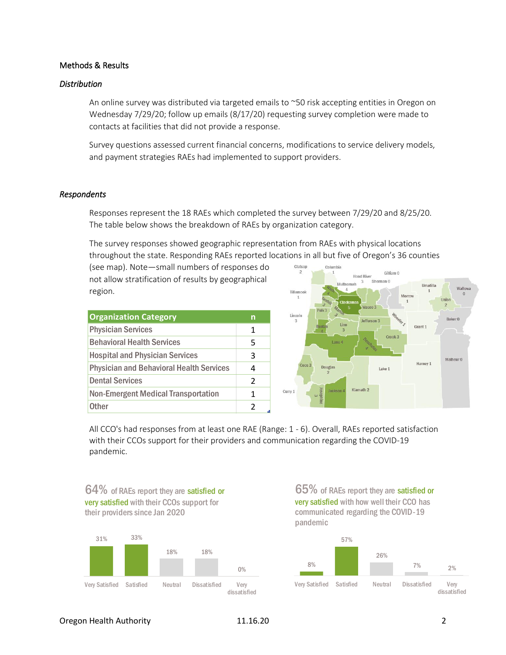## Methods & Results

#### *Distribution*

An online survey was distributed via targeted emails to ~50 risk accepting entities in Oregon on Wednesday 7/29/20; follow up emails (8/17/20) requesting survey completion were made to contacts at facilities that did not provide a response.

Survey questions assessed current financial concerns, modifications to service delivery models, and payment strategies RAEs had implemented to support providers.

#### *Respondents*

Responses represent the 18 RAEs which completed the survey between 7/29/20 and 8/25/20. The table below shows the breakdown of RAEs by organization category.

The survey responses showed geographic representation from RAEs with physical locations throughout the state. Responding RAEs reported locations in all but five of Oregon's 36 counties

(see map). Note—small numbers of responses do not allow stratification of results by geographical region.

| <b>Organization Category</b>                    | n             |
|-------------------------------------------------|---------------|
| <b>Physician Services</b>                       | 1             |
| <b>Behavioral Health Services</b>               | 5             |
| <b>Hospital and Physician Services</b>          | 3             |
| <b>Physician and Behavioral Health Services</b> | 4             |
| <b>Dental Services</b>                          | $\mathcal{P}$ |
| <b>Non-Emergent Medical Transportation</b>      | 1             |
| <b>Other</b>                                    | 2             |



All CCO's had responses from at least one RAE (Range: 1 - 6). Overall, RAEs reported satisfaction with their CCOs support for their providers and communication regarding the COVID-19 pandemic.



65% of RAEs report they are satisfied or very satisfied with how well their CCO has communicated regarding the COVID-19 pandemic

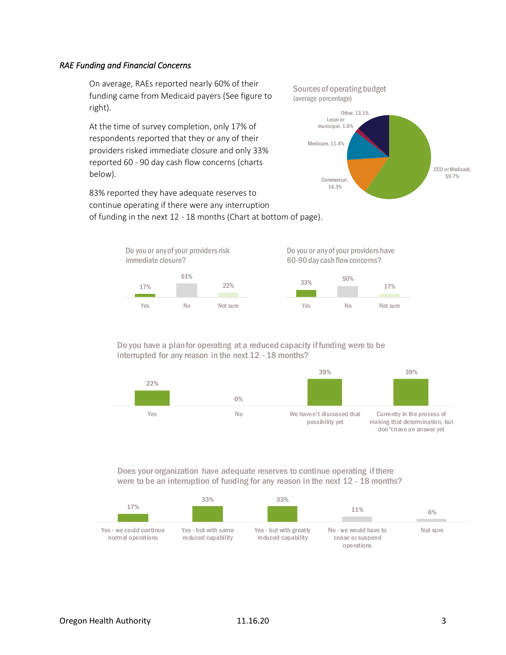## *RAE Funding and Financial Concerns*

On average, RAEs reported nearly 60% of their funding came from Medicaid payers (See figure to right).

At the time of survey completion, only 17% of respondents reported that they or any of their providers risked immediate closure and only 33% reported 60 - 90 day cash flow concerns (charts below).

83% reported they have adequate reserves to continue operating if there were any interruption of funding in the next 12 - 18 months (Chart at bottom of page).





#### Do you have a plan for operating at a reduced capacity if funding were to be interrupted for any reason in the next 12 - 18 months?



Does your organization have adequate reserves to continue operating if there were to be an interruption of funding for any reason in the next 12 - 18 months?

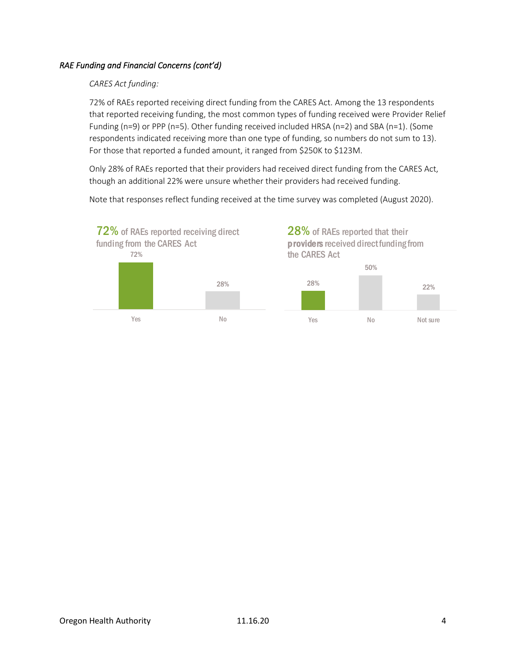# *RAE Funding and Financial Concerns (cont'd)*

## *CARES Act funding:*

72% of RAEs reported receiving direct funding from the CARES Act. Among the 13 respondents that reported receiving funding, the most common types of funding received were Provider Relief Funding (n=9) or PPP (n=5). Other funding received included HRSA (n=2) and SBA (n=1). (Some respondents indicated receiving more than one type of funding, so numbers do not sum to 13). For those that reported a funded amount, it ranged from \$250K to \$123M.

Only 28% of RAEs reported that their providers had received direct funding from the CARES Act, though an additional 22% were unsure whether their providers had received funding.

Note that responses reflect funding received at the time survey was completed (August 2020).



28% of RAEs reported that their providers received direct funding from

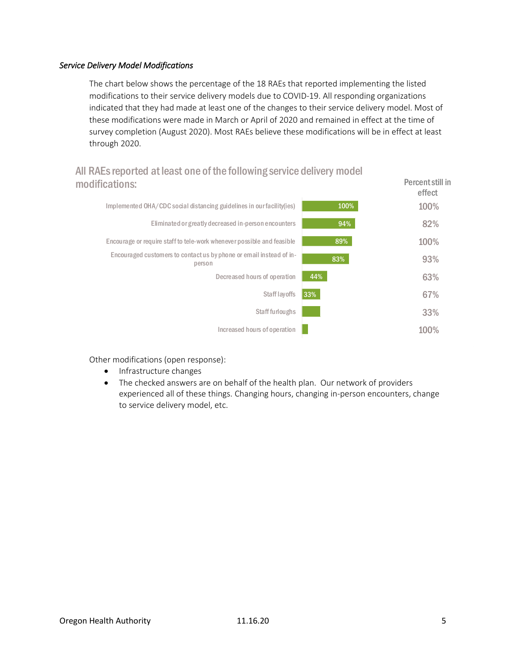## *Service Delivery Model Modifications*

The chart below shows the percentage of the 18 RAEs that reported implementing the listed modifications to their service delivery models due to COVID-19. All responding organizations indicated that they had made at least one of the changes to their service delivery model. Most of these modifications were made in March or April of 2020 and remained in effect at the time of survey completion (August 2020). Most RAEs believe these modifications will be in effect at least through 2020.

# All RAEs reported at least one of the following service delivery model modifications: Percent still in

|      | effect |
|------|--------|
| 100% | 100%   |
| 94%  | 82%    |
| 89%  | 100%   |
| 83%  | 93%    |
| 44%  | 63%    |
| 33%  | 67%    |
|      | 33%    |
|      | 100%   |
|      |        |

Other modifications (open response):

- Infrastructure changes
- The checked answers are on behalf of the health plan. Our network of providers experienced all of these things. Changing hours, changing in-person encounters, change to service delivery model, etc.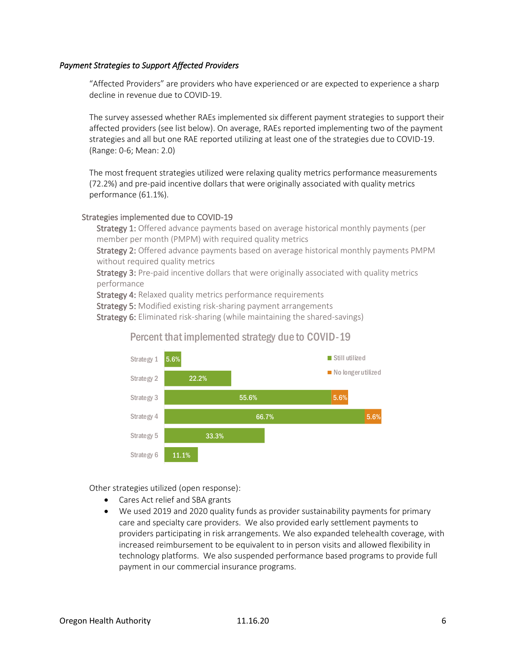## *Payment Strategies to Support Affected Providers*

"Affected Providers" are providers who have experienced or are expected to experience a sharp decline in revenue due to COVID-19.

The survey assessed whether RAEs implemented six different payment strategies to support their affected providers (see list below). On average, RAEs reported implementing two of the payment strategies and all but one RAE reported utilizing at least one of the strategies due to COVID-19. (Range: 0-6; Mean: 2.0)

The most frequent strategies utilized were relaxing quality metrics performance measurements (72.2%) and pre-paid incentive dollars that were originally associated with quality metrics performance (61.1%).

### Strategies implemented due to COVID-19

Strategy 1: Offered advance payments based on average historical monthly payments (per member per month (PMPM) with required quality metrics

Strategy 2: Offered advance payments based on average historical monthly payments PMPM without required quality metrics

Strategy 3: Pre-paid incentive dollars that were originally associated with quality metrics performance

Strategy 4: Relaxed quality metrics performance requirements

Strategy 5: Modified existing risk-sharing payment arrangements

Strategy 6: Eliminated risk-sharing (while maintaining the shared-savings)

# Percent that implemented strategy due to COVID-19



Other strategies utilized (open response):

- Cares Act relief and SBA grants
- We used 2019 and 2020 quality funds as provider sustainability payments for primary care and specialty care providers. We also provided early settlement payments to providers participating in risk arrangements. We also expanded telehealth coverage, with increased reimbursement to be equivalent to in person visits and allowed flexibility in technology platforms. We also suspended performance based programs to provide full payment in our commercial insurance programs.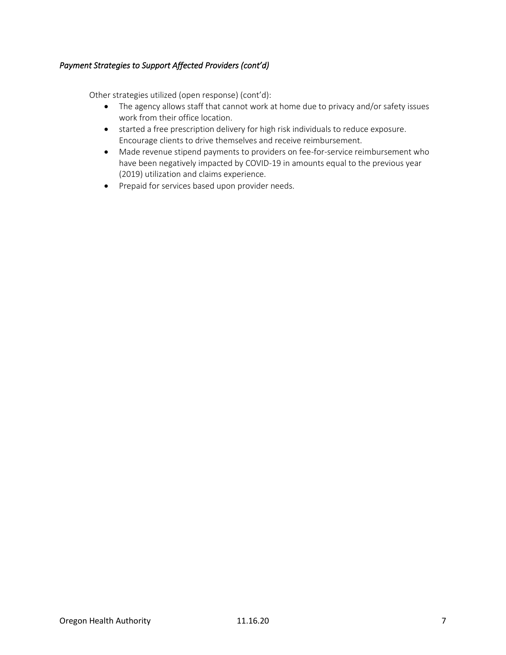## *Payment Strategies to Support Affected Providers (cont'd)*

Other strategies utilized (open response) (cont'd):

- The agency allows staff that cannot work at home due to privacy and/or safety issues work from their office location.
- started a free prescription delivery for high risk individuals to reduce exposure. Encourage clients to drive themselves and receive reimbursement.
- Made revenue stipend payments to providers on fee-for-service reimbursement who have been negatively impacted by COVID-19 in amounts equal to the previous year (2019) utilization and claims experience.
- Prepaid for services based upon provider needs.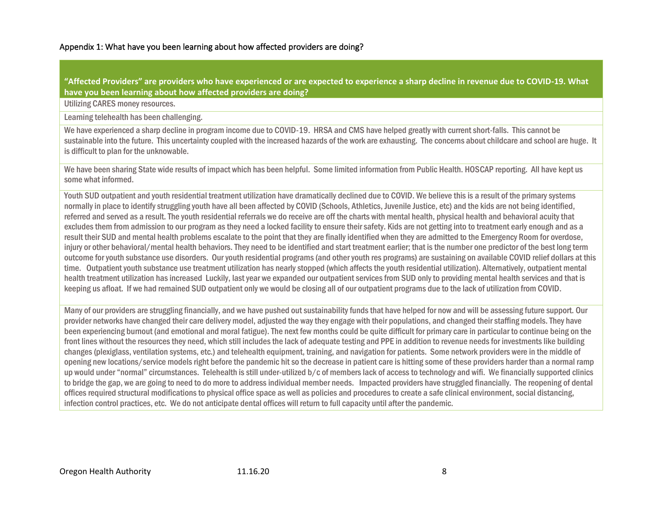## Appendix 1: What have you been learning about how affected providers are doing?

**"Affected Providers" are providers who have experienced or are expected to experience a sharp decline in revenue due to COVID-19. What have you been learning about how affected providers are doing?**

Utilizing CARES money resources.

Learning telehealth has been challenging.

We have experienced a sharp decline in program income due to COVID-19. HRSA and CMS have helped greatly with current short-falls. This cannot be sustainable into the future. This uncertainty coupled with the increased hazards of the work are exhausting. The concerns about childcare and school are huge. It is difficult to plan for the unknowable.

We have been sharing State wide results of impact which has been helpful. Some limited information from Public Health. HOSCAP reporting. All have kept us some what informed.

Youth SUD outpatient and youth residential treatment utilization have dramatically declined due to COVID. We believe this is a result of the primary systems normally in place to identify struggling youth have all been affected by COVID (Schools, Athletics, Juvenile Justice, etc) and the kids are not being identified, referred and served as a result. The youth residential referrals we do receive are off the charts with mental health, physical health and behavioral acuity that excludes them from admission to our program as they need a locked facility to ensure their safety. Kids are not getting into to treatment early enough and as a result their SUD and mental health problems escalate to the point that they are finally identified when they are admitted to the Emergency Room for overdose, injury or other behavioral/mental health behaviors. They need to be identified and start treatment earlier; that is the number one predictor of the best long term outcome for youth substance use disorders. Our youth residential programs (and other youth res programs) are sustaining on available COVID relief dollars at this time. Outpatient youth substance use treatment utilization has nearly stopped (which affects the youth residential utilization). Alternatively, outpatient mental health treatment utilization has increased Luckily, last year we expanded our outpatient services from SUD only to providing mental health services and that is keeping us afloat. If we had remained SUD outpatient only we would be closing all of our outpatient programs due to the lack of utilization from COVID.

Many of our providers are struggling financially, and we have pushed out sustainability funds that have helped for now and will be assessing future support. Our provider networks have changed their care delivery model, adjusted the way they engage with their populations, and changed their staffing models. They have been experiencing burnout (and emotional and moral fatigue). The next few months could be quite difficult for primary care in particular to continue being on the front lines without the resourcesthey need, which still includes the lack of adequate testing and PPE in addition to revenue needs for investments like building changes (plexiglass, ventilation systems, etc.) and telehealth equipment, training, and navigation for patients. Some network providers were in the middle of opening new locations/service models right before the pandemic hit so the decrease in patient care is hitting some of these providers harder than a normal ramp up would under "normal" circumstances. Telehealth is still under-utilized b/c of members lack of access to technology and wifi. We financially supported clinics to bridge the gap, we are going to need to do more to address individual member needs. Impacted providers have struggled financially. The reopening of dental offices required structural modifications to physical office space as well as policies and procedures to create a safe clinical environment, social distancing, infection control practices, etc. We do not anticipate dental offices will return to full capacity until after the pandemic.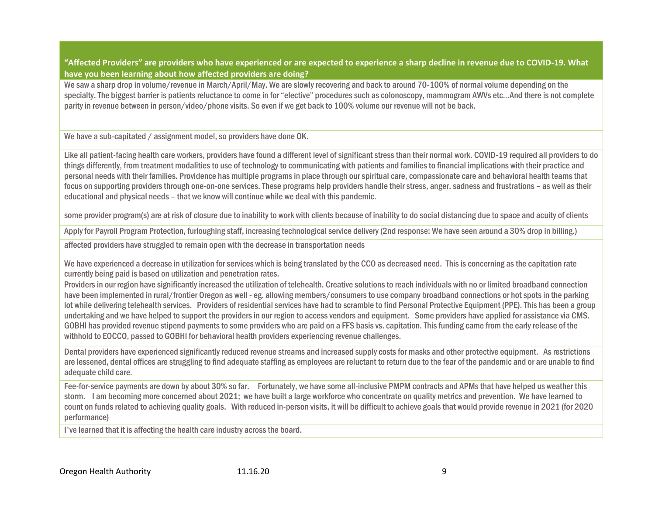**"Affected Providers" are providers who have experienced or are expected to experience a sharp decline in revenue due to COVID-19. What have you been learning about how affected providers are doing?**

We saw a sharp drop in volume/revenue in March/April/May. We are slowly recovering and back to around 70-100% of normal volume depending on the specialty. The biggest barrier is patients reluctance to come in for "elective" procedures such as colonoscopy, mammogram AWVs etc…And there is not complete parity in revenue between in person/video/phone visits. So even if we get back to 100% volume our revenue will not be back.

We have a sub-capitated / assignment model, so providers have done OK.

Like all patient-facing health care workers, providers have found a different level of significant stress than their normal work. COVID-19 required all providers to do things differently, from treatment modalities to use of technology to communicating with patients and families to financial implications with their practice and personal needs with their families. Providence has multiple programs in place through our spiritual care, compassionate care and behavioral health teams that focus on supporting providers through one-on-one services. These programs help providers handle their stress, anger, sadness and frustrations – as well as their educational and physical needs – that we know will continue while we deal with this pandemic.

some provider program(s) are at risk of closure due to inability to work with clients because of inability to do social distancing due to space and acuity of clients

Apply for Payroll Program Protection, furloughing staff, increasing technological service delivery (2nd response: We have seen around a 30% drop in billing.)

affected providers have struggled to remain open with the decrease in transportation needs

We have experienced a decrease in utilization for services which is being translated by the CCO as decreased need. This is concerning as the capitation rate currently being paid is based on utilization and penetration rates.

Providers in our region have significantly increased the utilization of telehealth. Creative solutions to reach individuals with no or limited broadband connection have been implemented in rural/frontier Oregon as well - eg. allowing members/consumers to use company broadband connections or hot spots in the parking lot while delivering telehealth services. Providers of residential services have had to scramble to find Personal Protective Equipment (PPE). This has been a group undertaking and we have helped to support the providers in our region to access vendors and equipment. Some providers have applied for assistance via CMS. GOBHI has provided revenue stipend payments to some providers who are paid on a FFS basis vs. capitation. This funding came from the early release of the withhold to EOCCO, passed to GOBHI for behavioral health providers experiencing revenue challenges.

Dental providers have experienced significantly reduced revenue streams and increased supply costs for masks and other protective equipment. As restrictions are lessened, dental offices are struggling to find adequate staffing as employees are reluctant to return due to the fear of the pandemic and or are unable to find adequate child care.

Fee-for-service payments are down by about 30% so far. Fortunately, we have some all-inclusive PMPM contracts and APMs that have helped us weather this storm. I am becoming more concerned about 2021; we have built a large workforce who concentrate on quality metrics and prevention. We have learned to count on funds related to achieving quality goals. With reduced in-person visits, it will be difficult to achieve goals that would provide revenue in 2021 (for 2020 performance)

I've learned that it is affecting the health care industry across the board.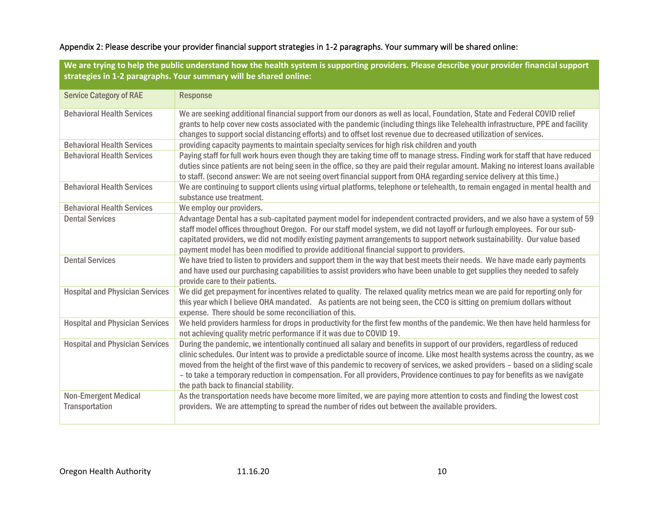# Appendix 2: Please describe your provider financial support strategies in 1-2 paragraphs. Your summary will be shared online:

**We are trying to help the public understand how the health system is supporting providers. Please describe your provider financial support strategies in 1-2 paragraphs. Your summary will be shared online:**

| <b>Service Category of RAE</b>                | <b>Response</b>                                                                                                                                                                                                                                                                                                                                                                                                                                                                                                                                                         |
|-----------------------------------------------|-------------------------------------------------------------------------------------------------------------------------------------------------------------------------------------------------------------------------------------------------------------------------------------------------------------------------------------------------------------------------------------------------------------------------------------------------------------------------------------------------------------------------------------------------------------------------|
| <b>Behavioral Health Services</b>             | We are seeking additional financial support from our donors as well as local, Foundation, State and Federal COVID relief<br>grants to help cover new costs associated with the pandemic (including things like Telehealth infrastructure, PPE and facility<br>changes to support social distancing efforts) and to offset lost revenue due to decreased utilization of services.                                                                                                                                                                                        |
| <b>Behavioral Health Services</b>             | providing capacity payments to maintain specialty services for high risk children and youth                                                                                                                                                                                                                                                                                                                                                                                                                                                                             |
| <b>Behavioral Health Services</b>             | Paying staff for full work hours even though they are taking time off to manage stress. Finding work for staff that have reduced<br>duties since patients are not being seen in the office, so they are paid their regular amount. Making no interest loans available<br>to staff. (second answer: We are not seeing overt financial support from OHA regarding service delivery at this time.)                                                                                                                                                                         |
| <b>Behavioral Health Services</b>             | We are continuing to support clients using virtual platforms, telephone or telehealth, to remain engaged in mental health and<br>substance use treatment.                                                                                                                                                                                                                                                                                                                                                                                                               |
| <b>Behavioral Health Services</b>             | We employ our providers.                                                                                                                                                                                                                                                                                                                                                                                                                                                                                                                                                |
| <b>Dental Services</b>                        | Advantage Dental has a sub-capitated payment model for independent contracted providers, and we also have a system of 59<br>staff model offices throughout Oregon. For our staff model system, we did not layoff or furlough employees. For our sub-<br>capitated providers, we did not modify existing payment arrangements to support network sustainability. Our value based<br>payment model has been modified to provide additional financial support to providers.                                                                                                |
| <b>Dental Services</b>                        | We have tried to listen to providers and support them in the way that best meets their needs. We have made early payments<br>and have used our purchasing capabilities to assist providers who have been unable to get supplies they needed to safely<br>provide care to their patients.                                                                                                                                                                                                                                                                                |
| <b>Hospital and Physician Services</b>        | We did get prepayment for incentives related to quality. The relaxed quality metrics mean we are paid for reporting only for<br>this year which I believe OHA mandated. As patients are not being seen, the CCO is sitting on premium dollars without<br>expense. There should be some reconciliation of this.                                                                                                                                                                                                                                                          |
| <b>Hospital and Physician Services</b>        | We held providers harmless for drops in productivity for the first few months of the pandemic. We then have held harmless for<br>not achieving quality metric performance if it was due to COVID 19.                                                                                                                                                                                                                                                                                                                                                                    |
| <b>Hospital and Physician Services</b>        | During the pandemic, we intentionally continued all salary and benefits in support of our providers, regardless of reduced<br>clinic schedules. Our intent was to provide a predictable source of income. Like most health systems across the country, as we<br>moved from the height of the first wave of this pandemic to recovery of services, we asked providers - based on a sliding scale<br>- to take a temporary reduction in compensation. For all providers, Providence continues to pay for benefits as we navigate<br>the path back to financial stability. |
| <b>Non-Emergent Medical</b><br>Transportation | As the transportation needs have become more limited, we are paying more attention to costs and finding the lowest cost<br>providers. We are attempting to spread the number of rides out between the available providers.                                                                                                                                                                                                                                                                                                                                              |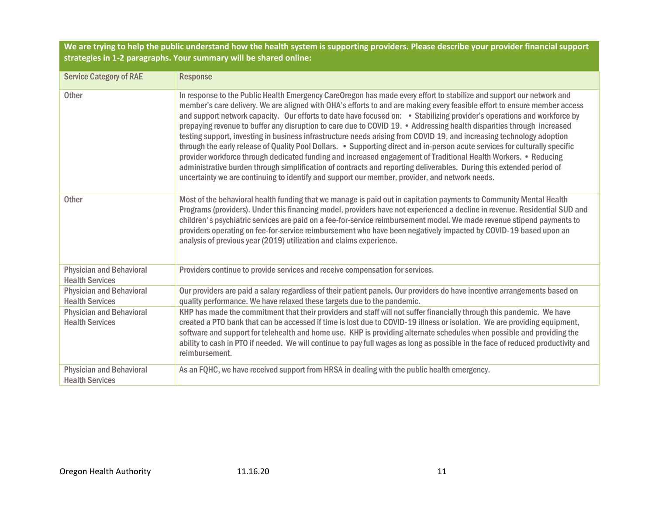**We are trying to help the public understand how the health system is supporting providers. Please describe your provider financial support strategies in 1-2 paragraphs. Your summary will be shared online:**

| <b>Service Category of RAE</b>                            | <b>Response</b>                                                                                                                                                                                                                                                                                                                                                                                                                                                                                                                                                                                                                                                                                                                                                                                                                                                                                                                                                                                                                                                                                            |
|-----------------------------------------------------------|------------------------------------------------------------------------------------------------------------------------------------------------------------------------------------------------------------------------------------------------------------------------------------------------------------------------------------------------------------------------------------------------------------------------------------------------------------------------------------------------------------------------------------------------------------------------------------------------------------------------------------------------------------------------------------------------------------------------------------------------------------------------------------------------------------------------------------------------------------------------------------------------------------------------------------------------------------------------------------------------------------------------------------------------------------------------------------------------------------|
| <b>Other</b>                                              | In response to the Public Health Emergency CareOregon has made every effort to stabilize and support our network and<br>member's care delivery. We are aligned with OHA's efforts to and are making every feasible effort to ensure member access<br>and support network capacity. Our efforts to date have focused on: • Stabilizing provider's operations and workforce by<br>prepaying revenue to buffer any disruption to care due to COVID 19. • Addressing health disparities through increased<br>testing support, investing in business infrastructure needs arising from COVID 19, and increasing technology adoption<br>through the early release of Quality Pool Dollars. . Supporting direct and in-person acute services for culturally specific<br>provider workforce through dedicated funding and increased engagement of Traditional Health Workers. • Reducing<br>administrative burden through simplification of contracts and reporting deliverables. During this extended period of<br>uncertainty we are continuing to identify and support our member, provider, and network needs. |
| <b>Other</b>                                              | Most of the behavioral health funding that we manage is paid out in capitation payments to Community Mental Health<br>Programs (providers). Under this financing model, providers have not experienced a decline in revenue. Residential SUD and<br>children's psychiatric services are paid on a fee-for-service reimbursement model. We made revenue stipend payments to<br>providers operating on fee-for-service reimbursement who have been negatively impacted by COVID-19 based upon an<br>analysis of previous year (2019) utilization and claims experience.                                                                                                                                                                                                                                                                                                                                                                                                                                                                                                                                      |
| <b>Physician and Behavioral</b><br><b>Health Services</b> | Providers continue to provide services and receive compensation for services.                                                                                                                                                                                                                                                                                                                                                                                                                                                                                                                                                                                                                                                                                                                                                                                                                                                                                                                                                                                                                              |
| <b>Physician and Behavioral</b><br><b>Health Services</b> | Our providers are paid a salary regardless of their patient panels. Our providers do have incentive arrangements based on<br>quality performance. We have relaxed these targets due to the pandemic.                                                                                                                                                                                                                                                                                                                                                                                                                                                                                                                                                                                                                                                                                                                                                                                                                                                                                                       |
| <b>Physician and Behavioral</b><br><b>Health Services</b> | KHP has made the commitment that their providers and staff will not suffer financially through this pandemic. We have<br>created a PTO bank that can be accessed if time is lost due to COVID-19 illness or isolation. We are providing equipment,<br>software and support for telehealth and home use. KHP is providing alternate schedules when possible and providing the<br>ability to cash in PTO if needed. We will continue to pay full wages as long as possible in the face of reduced productivity and<br>reimbursement.                                                                                                                                                                                                                                                                                                                                                                                                                                                                                                                                                                         |
| <b>Physician and Behavioral</b><br><b>Health Services</b> | As an FQHC, we have received support from HRSA in dealing with the public health emergency.                                                                                                                                                                                                                                                                                                                                                                                                                                                                                                                                                                                                                                                                                                                                                                                                                                                                                                                                                                                                                |